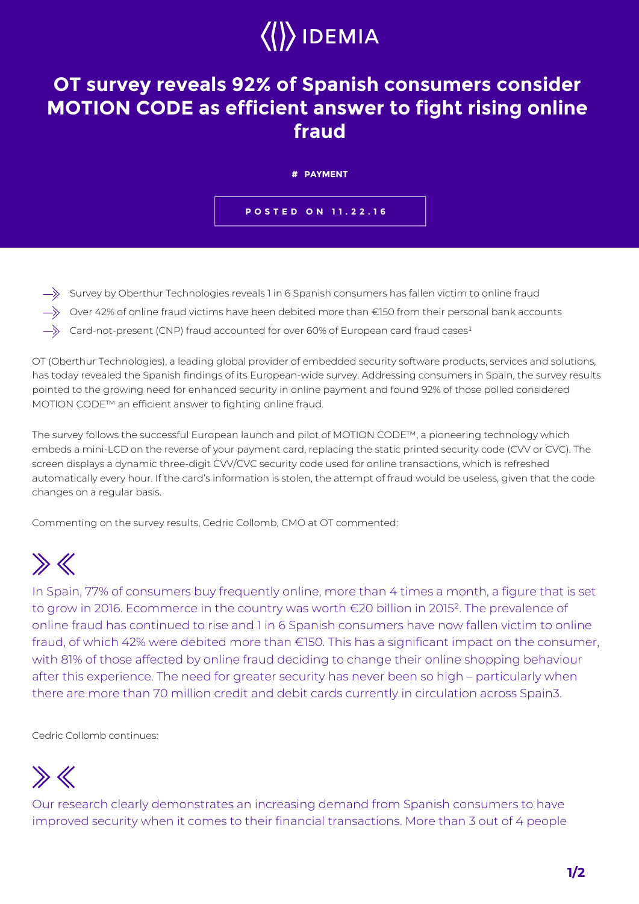# $\langle\langle\rangle\rangle$  IDEMIA

#### **OT survey reveals 92% of Spanish consumers consider MOTION CODE as efficient answer to fight rising online fraud**

| # PAYMENT                 |
|---------------------------|
| <b>POSTED ON 11.22.16</b> |

- $\Rightarrow$  Survey by Oberthur Technologies reveals 1 in 6 Spanish consumers has fallen victim to online fraud
- $\Rightarrow$  Over 42% of online fraud victims have been debited more than €150 from their personal bank accounts
- $\Rightarrow$  Card-not-present (CNP) fraud accounted for over 60% of European card fraud cases<sup>1</sup>

OT (Oberthur Technologies), a leading global provider of embedded security software products, services and solutions, has today revealed the Spanish findings of its European-wide survey. Addressing consumers in Spain, the survey results pointed to the growing need for enhanced security in online payment and found 92% of those polled considered MOTION CODE™ an efficient answer to fighting online fraud.

The survey follows the successful European launch and pilot of MOTION CODE™, a pioneering technology which embeds a mini-LCD on the reverse of your payment card, replacing the static printed security code (CVV or CVC). The screen displays a dynamic three-digit CVV/CVC security code used for online transactions, which is refreshed automatically every hour. If the card's information is stolen, the attempt of fraud would be useless, given that the code changes on a regular basis.

Commenting on the survey results, Cedric Collomb, CMO at OT commented:

## $\gg K$

In Spain, 77% of consumers buy frequently online, more than 4 times a month, a figure that is set to grow in 2016. Ecommerce in the country was worth €20 billion in 2015². The prevalence of online fraud has continued to rise and 1 in 6 Spanish consumers have now fallen victim to online fraud, of which 42% were debited more than €150. This has a significant impact on the consumer, with 81% of those affected by online fraud deciding to change their online shopping behaviour after this experience. The need for greater security has never been so high – particularly when there are more than 70 million credit and debit cards currently in circulation across Spain3.

Cedric Collomb continues:

### $\gg K$

Our research clearly demonstrates an increasing demand from Spanish consumers to have improved security when it comes to their financial transactions. More than 3 out of 4 people